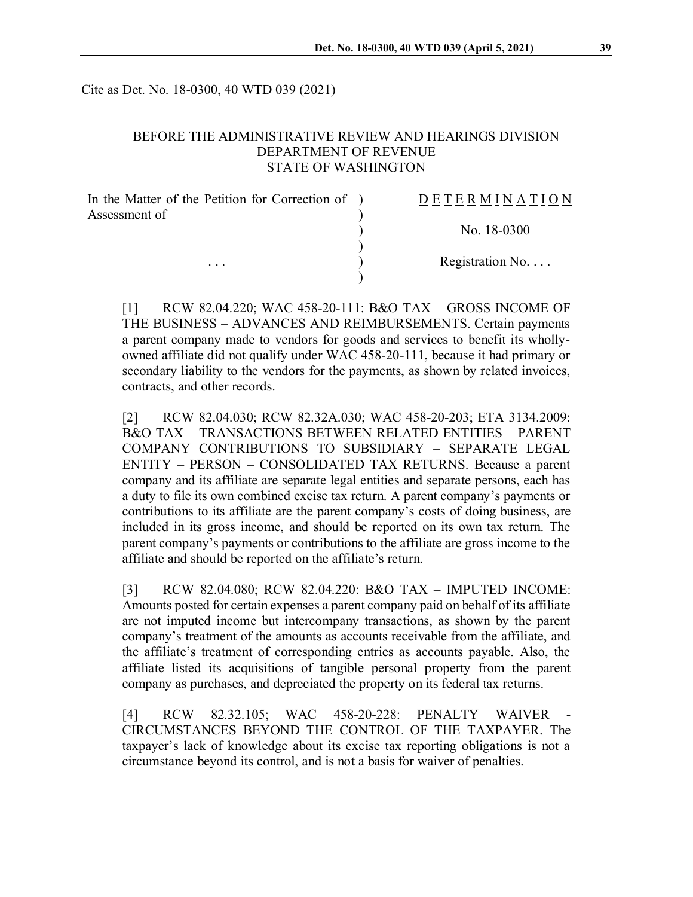Cite as Det. No. 18-0300, 40 WTD 039 (2021)

### BEFORE THE ADMINISTRATIVE REVIEW AND HEARINGS DIVISION DEPARTMENT OF REVENUE STATE OF WASHINGTON

| In the Matter of the Petition for Correction of ) | DETERMINATION            |
|---------------------------------------------------|--------------------------|
| Assessment of                                     |                          |
|                                                   | No. 18-0300              |
| $\cdots$                                          | Registration No. $\dots$ |
|                                                   |                          |

[1] RCW 82.04.220; WAC 458-20-111: B&O TAX – GROSS INCOME OF THE BUSINESS – ADVANCES AND REIMBURSEMENTS. Certain payments a parent company made to vendors for goods and services to benefit its whollyowned affiliate did not qualify under WAC 458-20-111, because it had primary or secondary liability to the vendors for the payments, as shown by related invoices, contracts, and other records.

[2] RCW 82.04.030; RCW 82.32A.030; WAC 458-20-203; ETA 3134.2009: B&O TAX – TRANSACTIONS BETWEEN RELATED ENTITIES – PARENT COMPANY CONTRIBUTIONS TO SUBSIDIARY – SEPARATE LEGAL ENTITY – PERSON – CONSOLIDATED TAX RETURNS. Because a parent company and its affiliate are separate legal entities and separate persons, each has a duty to file its own combined excise tax return. A parent company's payments or contributions to its affiliate are the parent company's costs of doing business, are included in its gross income, and should be reported on its own tax return. The parent company's payments or contributions to the affiliate are gross income to the affiliate and should be reported on the affiliate's return.

[3] RCW 82.04.080; RCW 82.04.220: B&O TAX – IMPUTED INCOME: Amounts posted for certain expenses a parent company paid on behalf of its affiliate are not imputed income but intercompany transactions, as shown by the parent company's treatment of the amounts as accounts receivable from the affiliate, and the affiliate's treatment of corresponding entries as accounts payable. Also, the affiliate listed its acquisitions of tangible personal property from the parent company as purchases, and depreciated the property on its federal tax returns.

[4] RCW 82.32.105; WAC 458-20-228: PENALTY WAIVER - CIRCUMSTANCES BEYOND THE CONTROL OF THE TAXPAYER. The taxpayer's lack of knowledge about its excise tax reporting obligations is not a circumstance beyond its control, and is not a basis for waiver of penalties.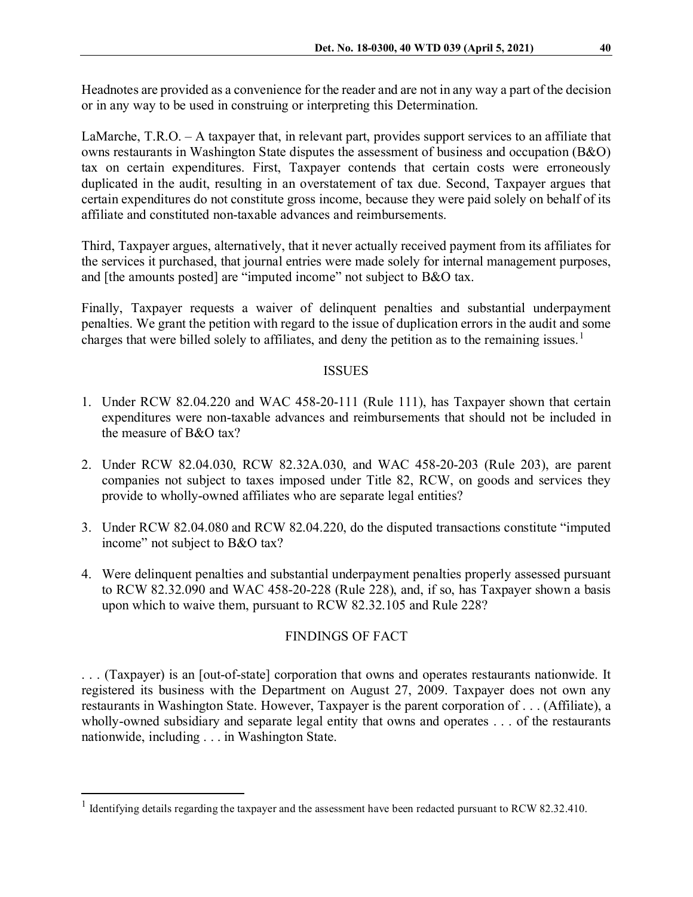Headnotes are provided as a convenience for the reader and are not in any way a part of the decision or in any way to be used in construing or interpreting this Determination.

LaMarche, T.R.O. – A taxpayer that, in relevant part, provides support services to an affiliate that owns restaurants in Washington State disputes the assessment of business and occupation (B&O) tax on certain expenditures. First, Taxpayer contends that certain costs were erroneously duplicated in the audit, resulting in an overstatement of tax due. Second, Taxpayer argues that certain expenditures do not constitute gross income, because they were paid solely on behalf of its affiliate and constituted non-taxable advances and reimbursements.

Third, Taxpayer argues, alternatively, that it never actually received payment from its affiliates for the services it purchased, that journal entries were made solely for internal management purposes, and [the amounts posted] are "imputed income" not subject to B&O tax.

Finally, Taxpayer requests a waiver of delinquent penalties and substantial underpayment penalties. We grant the petition with regard to the issue of duplication errors in the audit and some charges that were billed solely to affiliates, and deny the petition as to the remaining issues.<sup>[1](#page-1-0)</sup>

#### ISSUES

- 1. Under RCW 82.04.220 and WAC 458-20-111 (Rule 111), has Taxpayer shown that certain expenditures were non-taxable advances and reimbursements that should not be included in the measure of B&O tax?
- 2. Under RCW 82.04.030, RCW 82.32A.030, and WAC 458-20-203 (Rule 203), are parent companies not subject to taxes imposed under Title 82, RCW, on goods and services they provide to wholly-owned affiliates who are separate legal entities?
- 3. Under RCW 82.04.080 and RCW 82.04.220, do the disputed transactions constitute "imputed income" not subject to B&O tax?
- 4. Were delinquent penalties and substantial underpayment penalties properly assessed pursuant to RCW 82.32.090 and WAC 458-20-228 (Rule 228), and, if so, has Taxpayer shown a basis upon which to waive them, pursuant to RCW 82.32.105 and Rule 228?

## FINDINGS OF FACT

. . . (Taxpayer) is an [out-of-state] corporation that owns and operates restaurants nationwide. It registered its business with the Department on August 27, 2009. Taxpayer does not own any restaurants in Washington State. However, Taxpayer is the parent corporation of . . . (Affiliate), a wholly-owned subsidiary and separate legal entity that owns and operates . . . of the restaurants nationwide, including . . . in Washington State.

<span id="page-1-0"></span><sup>&</sup>lt;sup>1</sup> Identifying details regarding the taxpayer and the assessment have been redacted pursuant to RCW 82.32.410.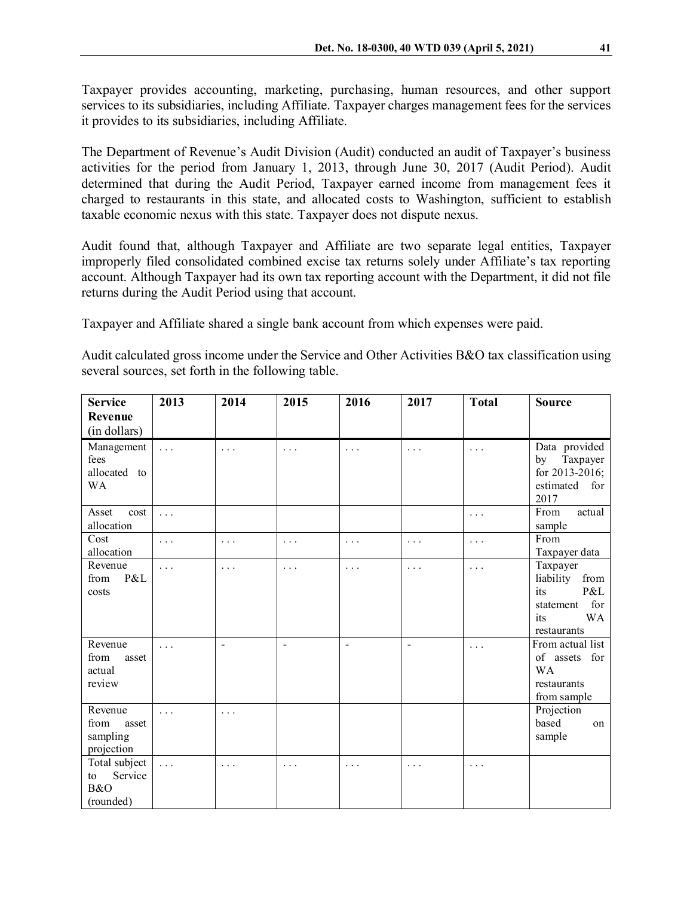Taxpayer provides accounting, marketing, purchasing, human resources, and other support services to its subsidiaries, including Affiliate. Taxpayer charges management fees for the services it provides to its subsidiaries, including Affiliate.

The Department of Revenue's Audit Division (Audit) conducted an audit of Taxpayer's business activities for the period from January 1, 2013, through June 30, 2017 (Audit Period). Audit determined that during the Audit Period, Taxpayer earned income from management fees it charged to restaurants in this state, and allocated costs to Washington, sufficient to establish taxable economic nexus with this state. Taxpayer does not dispute nexus.

Audit found that, although Taxpayer and Affiliate are two separate legal entities, Taxpayer improperly filed consolidated combined excise tax returns solely under Affiliate's tax reporting account. Although Taxpayer had its own tax reporting account with the Department, it did not file returns during the Audit Period using that account.

Taxpayer and Affiliate shared a single bank account from which expenses were paid.

Audit calculated gross income under the Service and Other Activities B&O tax classification using several sources, set forth in the following table.

| <b>Service</b>                                     | 2013        | 2014           | 2015     | 2016           | 2017           | <b>Total</b> | <b>Source</b>                                                                                      |
|----------------------------------------------------|-------------|----------------|----------|----------------|----------------|--------------|----------------------------------------------------------------------------------------------------|
| Revenue<br>(in dollars)                            |             |                |          |                |                |              |                                                                                                    |
| Management<br>fees<br>allocated to<br><b>WA</b>    | $\ldots$    | $\cdots$       | .        | $\cdots$       | $\cdots$       | $\cdots$     | Data provided<br>Taxpayer<br>by<br>for 2013-2016;<br>estimated for<br>2017                         |
| Asset<br>cost<br>allocation                        | $\ldots$    |                |          |                |                | $\cdots$     | From<br>actual<br>sample                                                                           |
| Cost<br>allocation                                 | $\cdots$    | $\cdots$       | .        | $\cdots$       | $\cdots$       | $\cdots$     | From<br>Taxpayer data                                                                              |
| Revenue<br>P&L<br>from<br>costs                    | $\ldots$    | $\cdots$       | $\cdots$ | $\cdots$       | $\cdots$       | $\cdots$     | Taxpayer<br>liability<br>from<br>P&L<br>its<br>for<br>statement<br>its<br><b>WA</b><br>restaurants |
| Revenue<br>from<br>asset<br>actual<br>review       | $\ldots$    | $\blacksquare$ | $\sim$   | $\blacksquare$ | $\blacksquare$ | $\cdots$     | From actual list<br>of assets for<br><b>WA</b><br>restaurants<br>from sample                       |
| Revenue<br>from<br>asset<br>sampling<br>projection | $\sim 10$ . | $\cdots$       |          |                |                |              | Projection<br>based<br>on<br>sample                                                                |
| Total subject<br>Service<br>to<br>B&O<br>(rounded) | $\ldots$    | $\cdots$       | .        | .              | .              | $\cdots$     |                                                                                                    |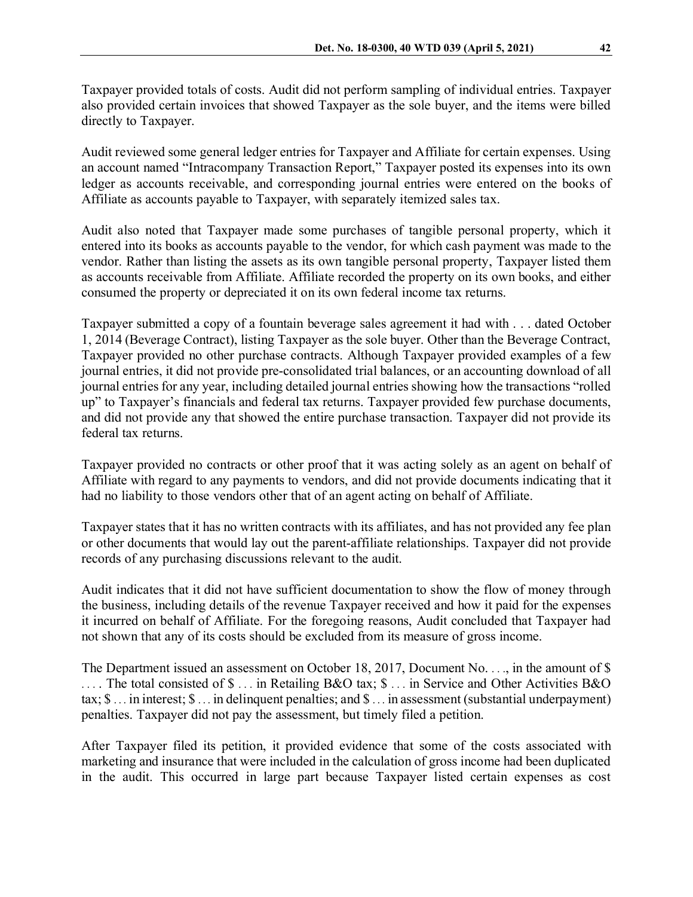Taxpayer provided totals of costs. Audit did not perform sampling of individual entries. Taxpayer also provided certain invoices that showed Taxpayer as the sole buyer, and the items were billed directly to Taxpayer.

Audit reviewed some general ledger entries for Taxpayer and Affiliate for certain expenses. Using an account named "Intracompany Transaction Report," Taxpayer posted its expenses into its own ledger as accounts receivable, and corresponding journal entries were entered on the books of Affiliate as accounts payable to Taxpayer, with separately itemized sales tax.

Audit also noted that Taxpayer made some purchases of tangible personal property, which it entered into its books as accounts payable to the vendor, for which cash payment was made to the vendor. Rather than listing the assets as its own tangible personal property, Taxpayer listed them as accounts receivable from Affiliate. Affiliate recorded the property on its own books, and either consumed the property or depreciated it on its own federal income tax returns.

Taxpayer submitted a copy of a fountain beverage sales agreement it had with . . . dated October 1, 2014 (Beverage Contract), listing Taxpayer as the sole buyer. Other than the Beverage Contract, Taxpayer provided no other purchase contracts. Although Taxpayer provided examples of a few journal entries, it did not provide pre-consolidated trial balances, or an accounting download of all journal entries for any year, including detailed journal entries showing how the transactions "rolled up" to Taxpayer's financials and federal tax returns. Taxpayer provided few purchase documents, and did not provide any that showed the entire purchase transaction. Taxpayer did not provide its federal tax returns.

Taxpayer provided no contracts or other proof that it was acting solely as an agent on behalf of Affiliate with regard to any payments to vendors, and did not provide documents indicating that it had no liability to those vendors other that of an agent acting on behalf of Affiliate.

Taxpayer states that it has no written contracts with its affiliates, and has not provided any fee plan or other documents that would lay out the parent-affiliate relationships. Taxpayer did not provide records of any purchasing discussions relevant to the audit.

Audit indicates that it did not have sufficient documentation to show the flow of money through the business, including details of the revenue Taxpayer received and how it paid for the expenses it incurred on behalf of Affiliate. For the foregoing reasons, Audit concluded that Taxpayer had not shown that any of its costs should be excluded from its measure of gross income.

The Department issued an assessment on October 18, 2017, Document No. . . ., in the amount of \$ .... The total consisted of  $\$ \dots$  in Retailing B&O tax;  $\$ \dots$  in Service and Other Activities B&O tax; \$ ... in interest; \$ ... in delinquent penalties; and \$ ... in assessment (substantial underpayment) penalties. Taxpayer did not pay the assessment, but timely filed a petition.

After Taxpayer filed its petition, it provided evidence that some of the costs associated with marketing and insurance that were included in the calculation of gross income had been duplicated in the audit. This occurred in large part because Taxpayer listed certain expenses as cost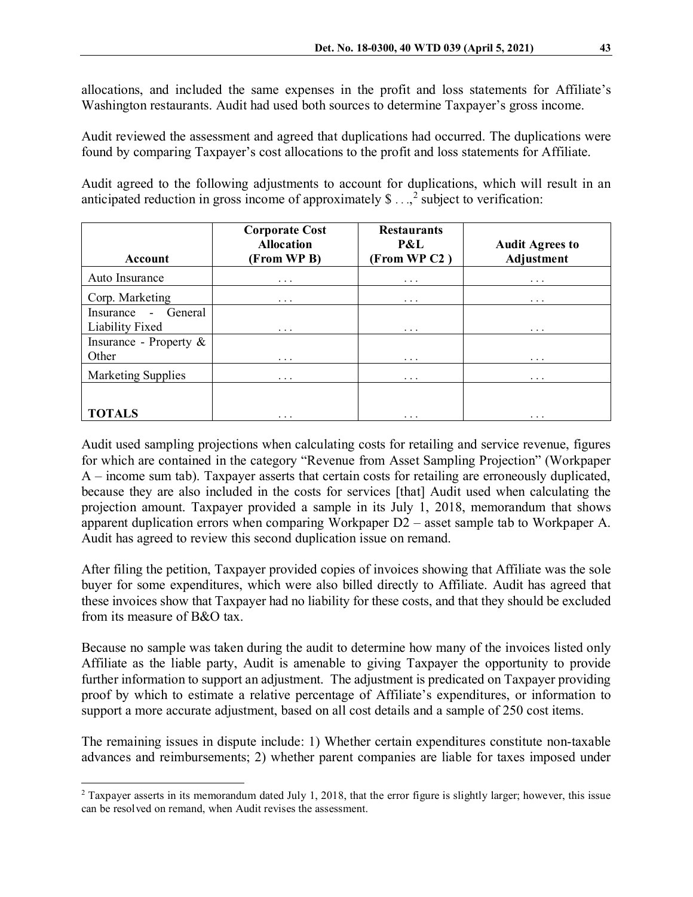allocations, and included the same expenses in the profit and loss statements for Affiliate's Washington restaurants. Audit had used both sources to determine Taxpayer's gross income.

Audit reviewed the assessment and agreed that duplications had occurred. The duplications were found by comparing Taxpayer's cost allocations to the profit and loss statements for Affiliate.

Audit agreed to the following adjustments to account for duplications, which will result in an anticipated reduction in gross income of approximately  $\$\ldots$ , subject to verification:

| Account                   | <b>Corporate Cost</b><br><b>Allocation</b><br>(From WP B) | <b>Restaurants</b><br>P&L<br>(From WP C2) | <b>Audit Agrees to</b><br>Adjustment |
|---------------------------|-----------------------------------------------------------|-------------------------------------------|--------------------------------------|
| Auto Insurance            | $\cdots$                                                  | $\cdots$                                  | $\cdots$                             |
| Corp. Marketing           | $\cdots$                                                  | $\cdots$                                  | $\cdots$                             |
| - General<br>Insurance    |                                                           |                                           |                                      |
| Liability Fixed           | $\cdots$                                                  | $\cdots$                                  | $\cdots$                             |
| Insurance - Property $\&$ |                                                           |                                           |                                      |
| Other                     | $\cdots$                                                  | $\cdots$                                  | $\cdots$                             |
| <b>Marketing Supplies</b> | $\cdots$                                                  | $\cdots$                                  | $\cdots$                             |
|                           |                                                           |                                           |                                      |
| <b>TOTALS</b>             | $\cdots$                                                  | $\cdots$                                  | $\cdots$                             |

Audit used sampling projections when calculating costs for retailing and service revenue, figures for which are contained in the category "Revenue from Asset Sampling Projection" (Workpaper A – income sum tab). Taxpayer asserts that certain costs for retailing are erroneously duplicated, because they are also included in the costs for services [that] Audit used when calculating the projection amount. Taxpayer provided a sample in its July 1, 2018, memorandum that shows apparent duplication errors when comparing Workpaper D2 – asset sample tab to Workpaper A. Audit has agreed to review this second duplication issue on remand.

After filing the petition, Taxpayer provided copies of invoices showing that Affiliate was the sole buyer for some expenditures, which were also billed directly to Affiliate. Audit has agreed that these invoices show that Taxpayer had no liability for these costs, and that they should be excluded from its measure of B&O tax.

Because no sample was taken during the audit to determine how many of the invoices listed only Affiliate as the liable party, Audit is amenable to giving Taxpayer the opportunity to provide further information to support an adjustment. The adjustment is predicated on Taxpayer providing proof by which to estimate a relative percentage of Affiliate's expenditures, or information to support a more accurate adjustment, based on all cost details and a sample of 250 cost items.

The remaining issues in dispute include: 1) Whether certain expenditures constitute non-taxable advances and reimbursements; 2) whether parent companies are liable for taxes imposed under

<span id="page-4-0"></span><sup>&</sup>lt;sup>2</sup> Taxpayer asserts in its memorandum dated July 1, 2018, that the error figure is slightly larger; however, this issue can be resolved on remand, when Audit revises the assessment.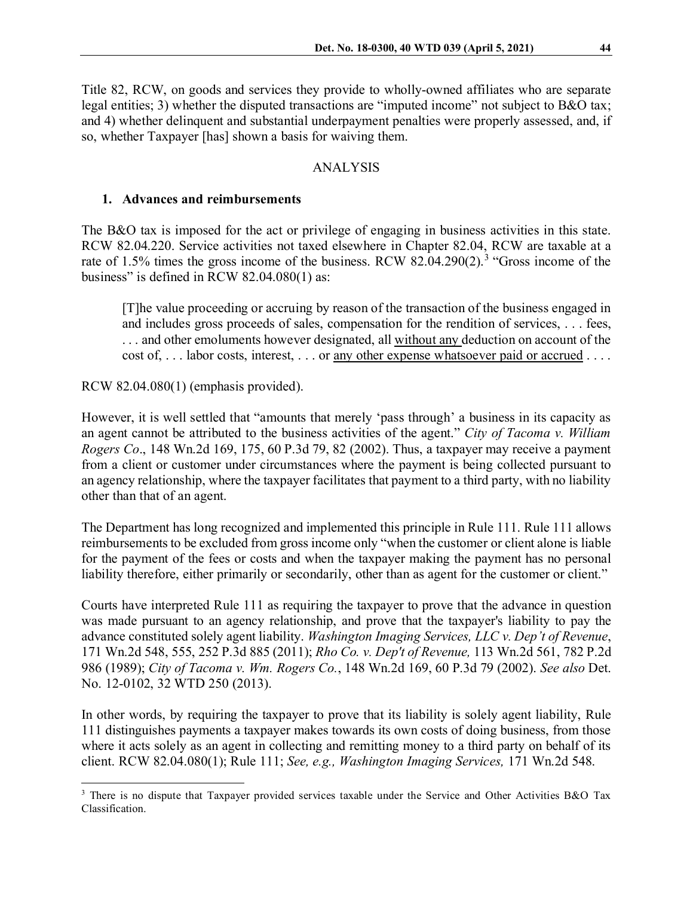Title 82, RCW, on goods and services they provide to wholly-owned affiliates who are separate legal entities; 3) whether the disputed transactions are "imputed income" not subject to B&O tax; and 4) whether delinquent and substantial underpayment penalties were properly assessed, and, if so, whether Taxpayer [has] shown a basis for waiving them.

#### ANALYSIS

### **1. Advances and reimbursements**

The B&O tax is imposed for the act or privilege of engaging in business activities in this state. RCW 82.04.220. Service activities not taxed elsewhere in Chapter 82.04, RCW are taxable at a rate of 1.5% times the gross income of the business. RCW 82.04.290(2).<sup>[3](#page-5-0)</sup> "Gross income of the business" is defined in RCW 82.04.080(1) as:

[T]he value proceeding or accruing by reason of the transaction of the business engaged in and includes gross proceeds of sales, compensation for the rendition of services, . . . fees, . . . and other emoluments however designated, all without any deduction on account of the cost of, . . . labor costs, interest, . . . or any other expense whatsoever paid or accrued . . . .

### RCW 82.04.080(1) (emphasis provided).

However, it is well settled that "amounts that merely 'pass through' a business in its capacity as an agent cannot be attributed to the business activities of the agent." *City of Tacoma v. William Rogers Co*., 148 Wn.2d 169, 175, 60 P.3d 79, 82 (2002). Thus, a taxpayer may receive a payment from a client or customer under circumstances where the payment is being collected pursuant to an agency relationship, where the taxpayer facilitates that payment to a third party, with no liability other than that of an agent.

The Department has long recognized and implemented this principle in Rule 111. Rule 111 allows reimbursements to be excluded from gross income only "when the customer or client alone is liable for the payment of the fees or costs and when the taxpayer making the payment has no personal liability therefore, either primarily or secondarily, other than as agent for the customer or client."

Courts have interpreted Rule 111 as requiring the taxpayer to prove that the advance in question was made pursuant to an agency relationship, and prove that the taxpayer's liability to pay the advance constituted solely agent liability. *Washington Imaging Services, LLC v. Dep't of Revenue*, 171 Wn.2d 548, 555, 252 P.3d 885 (2011); *Rho Co. v. Dep't of Revenue,* 113 Wn.2d 561, 782 P.2d 986 (1989); *City of Tacoma v. Wm. Rogers Co.*, 148 Wn.2d 169, 60 P.3d 79 (2002). *See also* Det. No. 12-0102, 32 WTD 250 (2013).

In other words, by requiring the taxpayer to prove that its liability is solely agent liability, Rule 111 distinguishes payments a taxpayer makes towards its own costs of doing business, from those where it acts solely as an agent in collecting and remitting money to a third party on behalf of its client. RCW 82.04.080(1); Rule 111; *See, e.g., Washington Imaging Services,* 171 Wn.2d 548.

<span id="page-5-0"></span><sup>&</sup>lt;sup>3</sup> There is no dispute that Taxpayer provided services taxable under the Service and Other Activities B&O Tax Classification.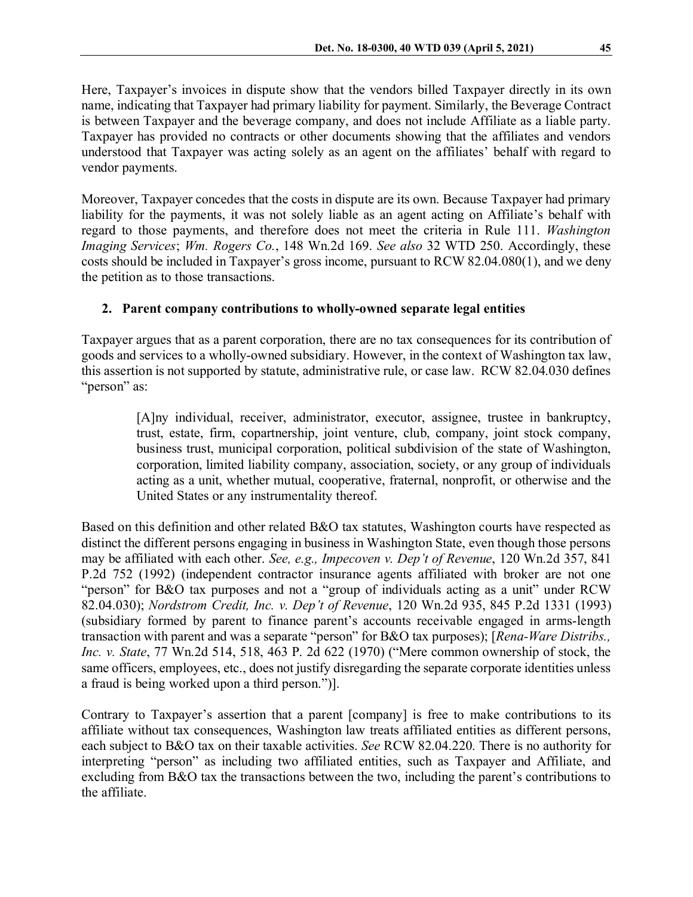Here, Taxpayer's invoices in dispute show that the vendors billed Taxpayer directly in its own name, indicating that Taxpayer had primary liability for payment. Similarly, the Beverage Contract is between Taxpayer and the beverage company, and does not include Affiliate as a liable party. Taxpayer has provided no contracts or other documents showing that the affiliates and vendors understood that Taxpayer was acting solely as an agent on the affiliates' behalf with regard to vendor payments.

Moreover, Taxpayer concedes that the costs in dispute are its own. Because Taxpayer had primary liability for the payments, it was not solely liable as an agent acting on Affiliate's behalf with regard to those payments, and therefore does not meet the criteria in Rule 111. *Washington Imaging Services*; *Wm. Rogers Co.*, 148 Wn.2d 169. *See also* 32 WTD 250. Accordingly, these costs should be included in Taxpayer's gross income, pursuant to RCW 82.04.080(1), and we deny the petition as to those transactions.

# **2. Parent company contributions to wholly-owned separate legal entities**

Taxpayer argues that as a parent corporation, there are no tax consequences for its contribution of goods and services to a wholly-owned subsidiary. However, in the context of Washington tax law, this assertion is not supported by statute, administrative rule, or case law. RCW 82.04.030 defines "person" as:

> [A]ny individual, receiver, administrator, executor, assignee, trustee in bankruptcy, trust, estate, firm, copartnership, joint venture, club, company, joint stock company, business trust, municipal corporation, political subdivision of the state of Washington, corporation, limited liability company, association, society, or any group of individuals acting as a unit, whether mutual, cooperative, fraternal, nonprofit, or otherwise and the United States or any instrumentality thereof.

Based on this definition and other related B&O tax statutes, Washington courts have respected as distinct the different persons engaging in business in Washington State, even though those persons may be affiliated with each other. *See, e.g., Impecoven v. Dep't of Revenue*, 120 Wn.2d 357, 841 P.2d 752 (1992) (independent contractor insurance agents affiliated with broker are not one "person" for B&O tax purposes and not a "group of individuals acting as a unit" under RCW 82.04.030); *Nordstrom Credit, Inc. v. Dep't of Revenue*, 120 Wn.2d 935, 845 P.2d 1331 (1993) (subsidiary formed by parent to finance parent's accounts receivable engaged in arms-length transaction with parent and was a separate "person" for B&O tax purposes); [*Rena-Ware Distribs., Inc. v. State*, 77 Wn.2d 514, 518, 463 P. 2d 622 (1970) ("Mere common ownership of stock, the same officers, employees, etc., does not justify disregarding the separate corporate identities unless a fraud is being worked upon a third person.")].

Contrary to Taxpayer's assertion that a parent [company] is free to make contributions to its affiliate without tax consequences, Washington law treats affiliated entities as different persons, each subject to B&O tax on their taxable activities. *See* RCW 82.04.220. There is no authority for interpreting "person" as including two affiliated entities, such as Taxpayer and Affiliate, and excluding from B&O tax the transactions between the two, including the parent's contributions to the affiliate.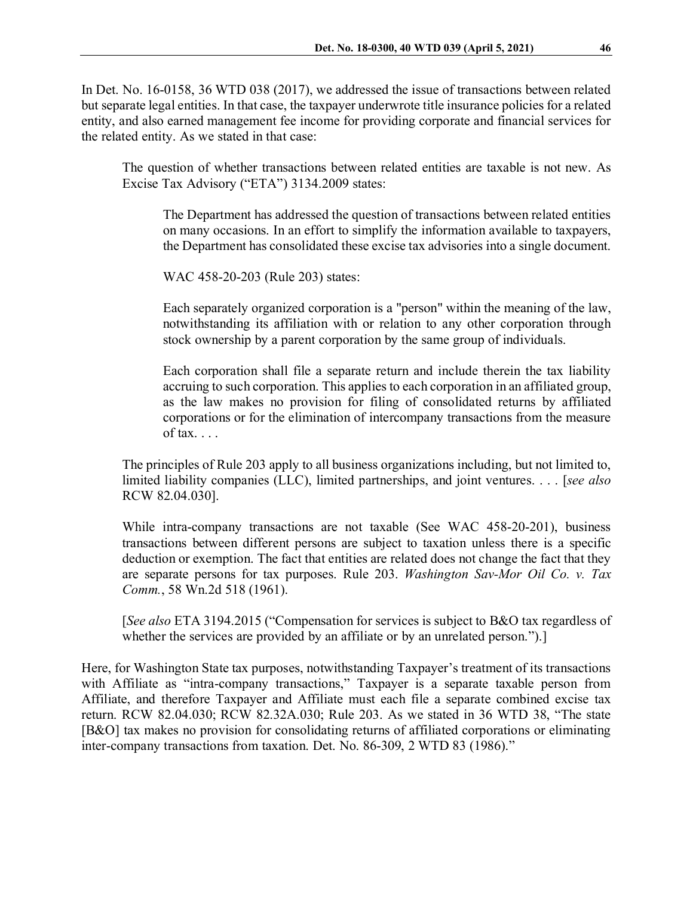In Det. No. 16-0158, 36 WTD 038 (2017), we addressed the issue of transactions between related but separate legal entities. In that case, the taxpayer underwrote title insurance policies for a related entity, and also earned management fee income for providing corporate and financial services for the related entity. As we stated in that case:

The question of whether transactions between related entities are taxable is not new. As Excise Tax Advisory ("ETA") 3134.2009 states:

The Department has addressed the question of transactions between related entities on many occasions. In an effort to simplify the information available to taxpayers, the Department has consolidated these excise tax advisories into a single document.

WAC 458-20-203 (Rule 203) states:

Each separately organized corporation is a "person" within the meaning of the law, notwithstanding its affiliation with or relation to any other corporation through stock ownership by a parent corporation by the same group of individuals.

Each corporation shall file a separate return and include therein the tax liability accruing to such corporation. This applies to each corporation in an affiliated group, as the law makes no provision for filing of consolidated returns by affiliated corporations or for the elimination of intercompany transactions from the measure of tax.  $\ldots$ 

The principles of Rule 203 apply to all business organizations including, but not limited to, limited liability companies (LLC), limited partnerships, and joint ventures. . . . [*see also* RCW 82.04.030].

While intra-company transactions are not taxable (See WAC 458-20-201), business transactions between different persons are subject to taxation unless there is a specific deduction or exemption. The fact that entities are related does not change the fact that they are separate persons for tax purposes. Rule 203. *Washington Sav-Mor Oil Co. v. Tax Comm.*, 58 Wn.2d 518 (1961).

[*See also* ETA 3194.2015 ("Compensation for services is subject to B&O tax regardless of whether the services are provided by an affiliate or by an unrelated person.").

Here, for Washington State tax purposes, notwithstanding Taxpayer's treatment of its transactions with Affiliate as "intra-company transactions," Taxpayer is a separate taxable person from Affiliate, and therefore Taxpayer and Affiliate must each file a separate combined excise tax return. RCW 82.04.030; RCW 82.32A.030; Rule 203. As we stated in 36 WTD 38, "The state [B&O] tax makes no provision for consolidating returns of affiliated corporations or eliminating inter-company transactions from taxation. Det. No. 86-309, 2 WTD 83 (1986)."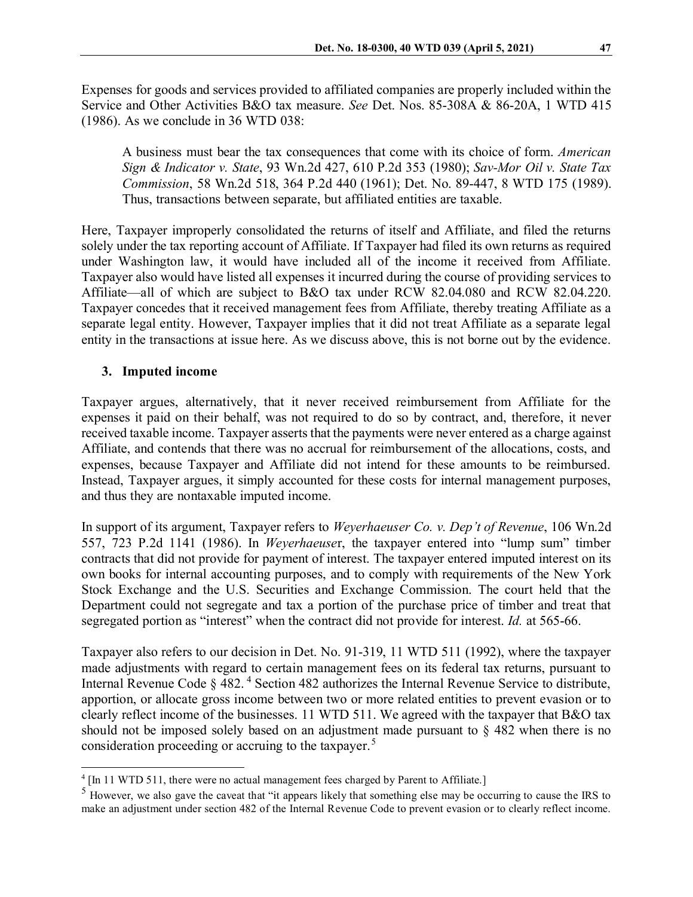Expenses for goods and services provided to affiliated companies are properly included within the Service and Other Activities B&O tax measure. *See* Det. Nos. 85-308A & 86-20A, 1 WTD 415 (1986). As we conclude in 36 WTD 038:

A business must bear the tax consequences that come with its choice of form. *American Sign & Indicator v. State*, 93 Wn.2d 427, 610 P.2d 353 (1980); *Sav-Mor Oil v. State Tax Commission*, 58 Wn.2d 518, 364 P.2d 440 (1961); Det. No. 89-447, 8 WTD 175 (1989). Thus, transactions between separate, but affiliated entities are taxable.

Here, Taxpayer improperly consolidated the returns of itself and Affiliate, and filed the returns solely under the tax reporting account of Affiliate. If Taxpayer had filed its own returns as required under Washington law, it would have included all of the income it received from Affiliate. Taxpayer also would have listed all expenses it incurred during the course of providing services to Affiliate—all of which are subject to B&O tax under RCW 82.04.080 and RCW 82.04.220. Taxpayer concedes that it received management fees from Affiliate, thereby treating Affiliate as a separate legal entity. However, Taxpayer implies that it did not treat Affiliate as a separate legal entity in the transactions at issue here. As we discuss above, this is not borne out by the evidence.

## **3. Imputed income**

Taxpayer argues, alternatively, that it never received reimbursement from Affiliate for the expenses it paid on their behalf, was not required to do so by contract, and, therefore, it never received taxable income. Taxpayer asserts that the payments were never entered as a charge against Affiliate, and contends that there was no accrual for reimbursement of the allocations, costs, and expenses, because Taxpayer and Affiliate did not intend for these amounts to be reimbursed. Instead, Taxpayer argues, it simply accounted for these costs for internal management purposes, and thus they are nontaxable imputed income.

In support of its argument, Taxpayer refers to *Weyerhaeuser Co. v. Dep't of Revenue*, 106 Wn.2d 557, 723 P.2d 1141 (1986). In *Weyerhaeuse*r, the taxpayer entered into "lump sum" timber contracts that did not provide for payment of interest. The taxpayer entered imputed interest on its own books for internal accounting purposes, and to comply with requirements of the New York Stock Exchange and the U.S. Securities and Exchange Commission. The court held that the Department could not segregate and tax a portion of the purchase price of timber and treat that segregated portion as "interest" when the contract did not provide for interest. *Id.* at 565-66.

Taxpayer also refers to our decision in Det. No. 91-319, 11 WTD 511 (1992), where the taxpayer made adjustments with regard to certain management fees on its federal tax returns, pursuant to Internal Revenue Code § [4](#page-8-0)82.<sup>4</sup> Section 482 authorizes the Internal Revenue Service to distribute, apportion, or allocate gross income between two or more related entities to prevent evasion or to clearly reflect income of the businesses. 11 WTD 511. We agreed with the taxpayer that B&O tax should not be imposed solely based on an adjustment made pursuant to  $\S$  482 when there is no consideration proceeding or accruing to the taxpayer.<sup>[5](#page-8-1)</sup>

<span id="page-8-0"></span><sup>&</sup>lt;sup>4</sup> [In 11 WTD 511, there were no actual management fees charged by Parent to Affiliate.]

<span id="page-8-1"></span><sup>&</sup>lt;sup>5</sup> However, we also gave the caveat that "it appears likely that something else may be occurring to cause the IRS to make an adjustment under section 482 of the Internal Revenue Code to prevent evasion or to clearly reflect income.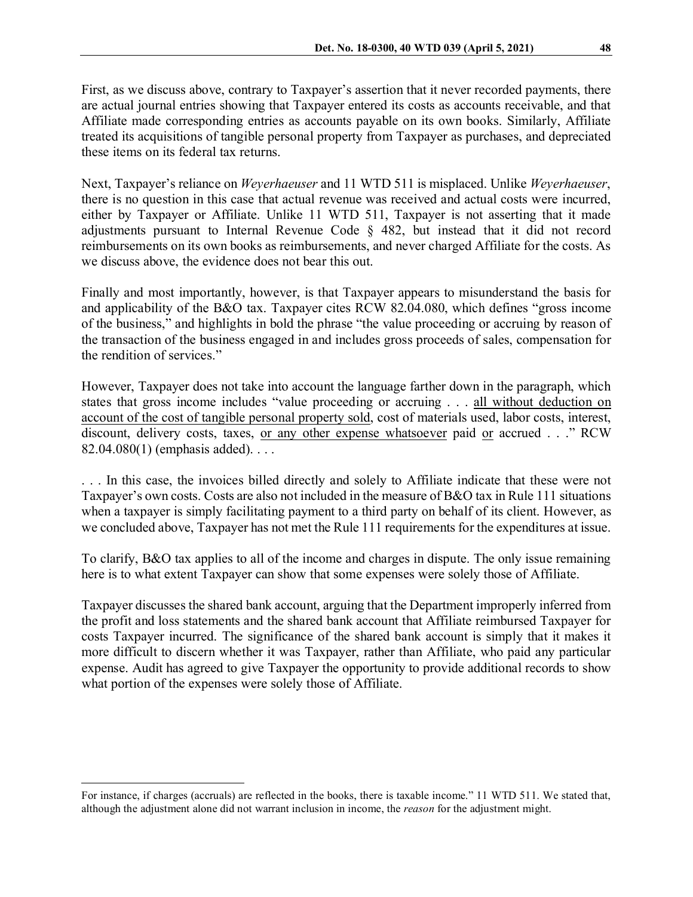First, as we discuss above, contrary to Taxpayer's assertion that it never recorded payments, there are actual journal entries showing that Taxpayer entered its costs as accounts receivable, and that Affiliate made corresponding entries as accounts payable on its own books. Similarly, Affiliate treated its acquisitions of tangible personal property from Taxpayer as purchases, and depreciated these items on its federal tax returns.

Next, Taxpayer's reliance on *Weyerhaeuser* and 11 WTD 511 is misplaced. Unlike *Weyerhaeuser*, there is no question in this case that actual revenue was received and actual costs were incurred, either by Taxpayer or Affiliate. Unlike 11 WTD 511, Taxpayer is not asserting that it made adjustments pursuant to Internal Revenue Code § 482, but instead that it did not record reimbursements on its own books as reimbursements, and never charged Affiliate for the costs. As we discuss above, the evidence does not bear this out.

Finally and most importantly, however, is that Taxpayer appears to misunderstand the basis for and applicability of the B&O tax. Taxpayer cites RCW 82.04.080, which defines "gross income of the business," and highlights in bold the phrase "the value proceeding or accruing by reason of the transaction of the business engaged in and includes gross proceeds of sales, compensation for the rendition of services."

However, Taxpayer does not take into account the language farther down in the paragraph, which states that gross income includes "value proceeding or accruing . . . all without deduction on account of the cost of tangible personal property sold, cost of materials used, labor costs, interest, discount, delivery costs, taxes, or any other expense whatsoever paid or accrued . . ." RCW 82.04.080(1) (emphasis added). . . .

. . . In this case, the invoices billed directly and solely to Affiliate indicate that these were not Taxpayer's own costs. Costs are also not included in the measure of B&O tax in Rule 111 situations when a taxpayer is simply facilitating payment to a third party on behalf of its client. However, as we concluded above, Taxpayer has not met the Rule 111 requirements for the expenditures at issue.

To clarify, B&O tax applies to all of the income and charges in dispute. The only issue remaining here is to what extent Taxpayer can show that some expenses were solely those of Affiliate.

Taxpayer discusses the shared bank account, arguing that the Department improperly inferred from the profit and loss statements and the shared bank account that Affiliate reimbursed Taxpayer for costs Taxpayer incurred. The significance of the shared bank account is simply that it makes it more difficult to discern whether it was Taxpayer, rather than Affiliate, who paid any particular expense. Audit has agreed to give Taxpayer the opportunity to provide additional records to show what portion of the expenses were solely those of Affiliate.

For instance, if charges (accruals) are reflected in the books, there is taxable income." 11 WTD 511. We stated that, although the adjustment alone did not warrant inclusion in income, the *reason* for the adjustment might.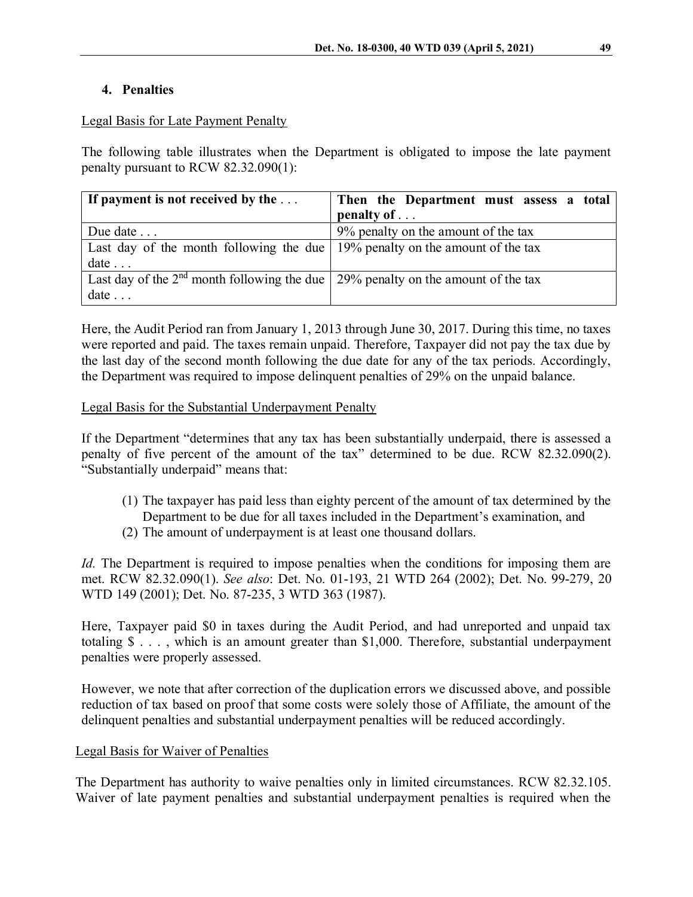### **4. Penalties**

### Legal Basis for Late Payment Penalty

The following table illustrates when the Department is obligated to impose the late payment penalty pursuant to RCW 82.32.090(1):

| If payment is not received by the $\dots$                                          | Then the Department must assess a total |
|------------------------------------------------------------------------------------|-----------------------------------------|
|                                                                                    | penalty of $\ldots$                     |
| Due date                                                                           | 9% penalty on the amount of the tax     |
| Last day of the month following the due   $19%$ penalty on the amount of the tax   |                                         |
| date                                                                               |                                         |
| Last day of the $2nd$ month following the due 29% penalty on the amount of the tax |                                         |
| date                                                                               |                                         |

Here, the Audit Period ran from January 1, 2013 through June 30, 2017. During this time, no taxes were reported and paid. The taxes remain unpaid. Therefore, Taxpayer did not pay the tax due by the last day of the second month following the due date for any of the tax periods. Accordingly, the Department was required to impose delinquent penalties of 29% on the unpaid balance.

### Legal Basis for the Substantial Underpayment Penalty

If the Department "determines that any tax has been substantially underpaid, there is assessed a penalty of five percent of the amount of the tax" determined to be due. RCW 82.32.090(2). "Substantially underpaid" means that:

- (1) The taxpayer has paid less than eighty percent of the amount of tax determined by the Department to be due for all taxes included in the Department's examination, and
- (2) The amount of underpayment is at least one thousand dollars.

*Id.* The Department is required to impose penalties when the conditions for imposing them are met. RCW 82.32.090(1). *See also*: Det. No. 01-193, 21 WTD 264 (2002); Det. No. 99-279, 20 WTD 149 (2001); Det. No. 87-235, 3 WTD 363 (1987).

Here, Taxpayer paid \$0 in taxes during the Audit Period, and had unreported and unpaid tax totaling \$ . . . , which is an amount greater than \$1,000. Therefore, substantial underpayment penalties were properly assessed.

However, we note that after correction of the duplication errors we discussed above, and possible reduction of tax based on proof that some costs were solely those of Affiliate, the amount of the delinquent penalties and substantial underpayment penalties will be reduced accordingly.

## Legal Basis for Waiver of Penalties

The Department has authority to waive penalties only in limited circumstances. RCW 82.32.105. Waiver of late payment penalties and substantial underpayment penalties is required when the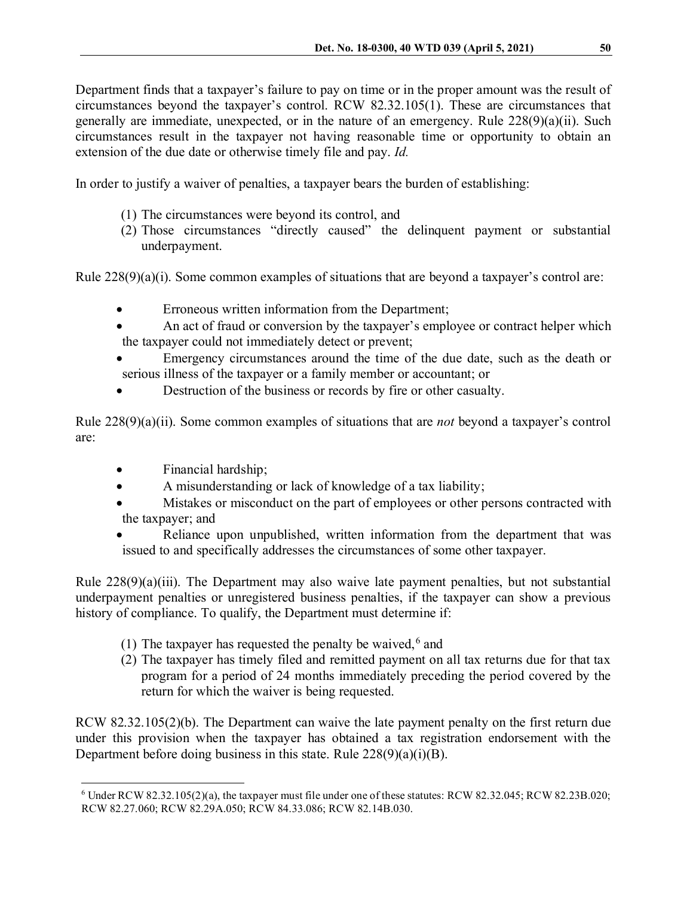Department finds that a taxpayer's failure to pay on time or in the proper amount was the result of circumstances beyond the taxpayer's control. RCW 82.32.105(1). These are circumstances that generally are immediate, unexpected, or in the nature of an emergency. Rule 228(9)(a)(ii). Such circumstances result in the taxpayer not having reasonable time or opportunity to obtain an extension of the due date or otherwise timely file and pay. *Id.*

In order to justify a waiver of penalties, a taxpayer bears the burden of establishing:

- (1) The circumstances were beyond its control, and
- (2) Those circumstances "directly caused" the delinquent payment or substantial underpayment.

Rule 228(9)(a)(i). Some common examples of situations that are beyond a taxpayer's control are:

- Erroneous written information from the Department;
- An act of fraud or conversion by the taxpayer's employee or contract helper which the taxpayer could not immediately detect or prevent;
- Emergency circumstances around the time of the due date, such as the death or serious illness of the taxpayer or a family member or accountant; or
- Destruction of the business or records by fire or other casualty.

Rule 228(9)(a)(ii). Some common examples of situations that are *not* beyond a taxpayer's control are:

- Financial hardship;
- A misunderstanding or lack of knowledge of a tax liability;
- Mistakes or misconduct on the part of employees or other persons contracted with the taxpayer; and
- Reliance upon unpublished, written information from the department that was issued to and specifically addresses the circumstances of some other taxpayer.

Rule 228(9)(a)(iii). The Department may also waive late payment penalties, but not substantial underpayment penalties or unregistered business penalties, if the taxpayer can show a previous history of compliance. To qualify, the Department must determine if:

- (1) The taxpayer has requested the penalty be waived,  $6$  and
- (2) The taxpayer has timely filed and remitted payment on all tax returns due for that tax program for a period of 24 months immediately preceding the period covered by the return for which the waiver is being requested.

RCW 82.32.105(2)(b). The Department can waive the late payment penalty on the first return due under this provision when the taxpayer has obtained a tax registration endorsement with the Department before doing business in this state. Rule  $228(9)(a)(i)(B)$ .

<span id="page-11-0"></span> <sup>6</sup> Under RCW 82.32.105(2)(a), the taxpayer must file under one of these statutes: RCW 82.32.045; RCW 82.23B.020; RCW 82.27.060; RCW 82.29A.050; RCW 84.33.086; RCW 82.14B.030.